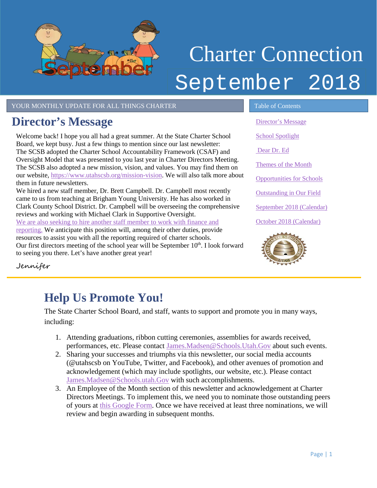

# Charter Connection September 2018

YOUR MONTHLY UPDATE FOR ALL THINGS CHARTER TABLE OF Contents

## <span id="page-0-0"></span>**Director's Message**

Welcome back! I hope you all had a great summer. At the State Charter School Board, we kept busy. Just a few things to mention since our last newsletter: The SCSB adopted the Charter School Accountability Framework (CSAF) and Oversight Model that was presented to you last year in Charter Directors Meeting. The SCSB also adopted a new mission, vision, and values. You may find them on our website[, https://www.utahscsb.org/mission-vision.](https://www.utahscsb.org/mission-vision) We will also talk more about them in future newsletters.

We hired a new staff member, Dr. Brett Campbell. Dr. Campbell most recently came to us from teaching at Brigham Young University. He has also worked in Clark County School District. Dr. Campbell will be overseeing the comprehensive reviews and working with Michael Clark in Supportive Oversight. We are also seeking to hire [another staff member to work with finance and](https://agency.governmentjobs.com/utah/default.cfm?action=jobbulletin&JobID=2184063)  [reporting.](https://agency.governmentjobs.com/utah/default.cfm?action=jobbulletin&JobID=2184063) We anticipate this position will, among their other duties, provide

resources to assist you with all the reporting required of charter schools. Our first directors meeting of the school year will be September  $10<sup>th</sup>$ . I look forward to seeing you there. Let's have another great year!

[Director's Message](#page-0-0) [School Spotlight](#page-0-1) [Dear Dr. Ed](#page-1-0) [Themes of the Month](#page-1-1) [Opportunities for Schools](#page-2-0)  [Outstanding in Our Field](#page-2-1) September [2018 \(Calendar\)](#page-3-0) October [2018 \(Calendar\)](#page-3-1)



Jennifer

# <span id="page-0-1"></span>**Help Us Promote You!**

The State Charter School Board, and staff, wants to support and promote you in many ways, including:

- 1. Attending graduations, ribbon cutting ceremonies, assemblies for awards received, performances, etc. Please contact [James.Madsen@Schools.Utah.Gov](mailto:James.Madsen@Schools.Utah.Gov) about such events.
- 2. Sharing your successes and triumphs via this newsletter, our social media accounts (@utahscsb on YouTube, Twitter, and Facebook), and other avenues of promotion and acknowledgement (which may include spotlights, our website, etc.). Please contact [James.Madsen@Schools.utah.Gov](mailto:James.Madsen@Schools.utah.Gov) with such accomplishments.
- 3. An Employee of the Month section of this newsletter and acknowledgement at Charter Directors Meetings. To implement this, we need you to nominate those outstanding peers of yours at [this Google Form.](https://docs.google.com/forms/d/e/1FAIpQLSdCs8ICTgo8UzwV7nFe0HiogaRQhfHtxc9YpqXcNvC1nuT56g/viewform?usp=sf_link) Once we have received at least three nominations, we will review and begin awarding in subsequent months.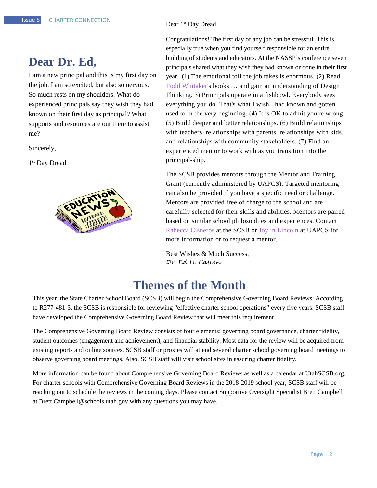#### <span id="page-1-0"></span>**Dear Dr. Ed,**

I am a new principal and this is my first day on the job. I am so excited, but also so nervous. So much rests on my shoulders. What do experienced principals say they wish they had known on their first day as principal? What supports and resources are out there to assist me?

Sincerely,

1<sup>st</sup> Day Dread



Dear 1<sup>st</sup> Day Dread,

Congratulations! The first day of any job can be stressful. This is especially true when you find yourself responsible for an entire building of students and educators. At the NASSP's conference seven principals shared what they wish they had known or done in their first year. (1) The emotional toll the job takes is enormous. (2) Read [Todd Whitaker's](http://www.toddwhitaker.com/) books … and gain an understanding of Design Thinking. 3) Principals operate in a fishbowl. Everybody sees everything you do. That's what I wish I had known and gotten used to in the very beginning. (4) It is OK to admit you're wrong. (5) Build deeper and better relationships. (6) Build relationships with teachers, relationships with parents, relationships with kids, and relationships with community stakeholders. (7) Find an experienced mentor to work with as you transition into the principal-ship.

The SCSB provides mentors through the Mentor and Training Grant (currently administered by UAPCS). Targeted mentoring can also be provided if you have a specific need or challenge. Mentors are provided free of charge to the school and are carefully selected for their skills and abilities. Mentors are paired based on similar school philosophies and experiences. Contact [Rabecca Cisneros](mailto:rabecca.cisneros@schools.utah.gov) at the SCSB or [Joylin Lincoln](mailto:joylin@utahcharters.org) at UAPCS for more information or to request a mentor.

Best Wishes & Much Success, Dr. Ed U. Cation

#### **Themes of the Month**

<span id="page-1-1"></span>This year, the State Charter School Board (SCSB) will begin the Comprehensive Governing Board Reviews. According to R277-481-3, the SCSB is responsible for reviewing "effective charter school operations" every five years. SCSB staff have developed the Comprehensive Governing Board Review that will meet this requirement.

The Comprehensive Governing Board Review consists of four elements: governing board governance, charter fidelity, student outcomes (engagement and achievement), and financial stability. Most data for the review will be acquired from existing reports and online sources. SCSB staff or proxies will attend several charter school governing board meetings to observe governing board meetings. Also, SCSB staff will visit school sites in assuring charter fidelity.

More information can be found about Comprehensive Governing Board Reviews as well as a calendar at UtahSCSB.org. For charter schools with Comprehensive Governing Board Reviews in the 2018-2019 school year, SCSB staff will be reaching out to schedule the reviews in the coming days. Please contact Supportive Oversight Specialist Brett Campbell at Brett.Campbell@schools.utah.gov with any questions you may have.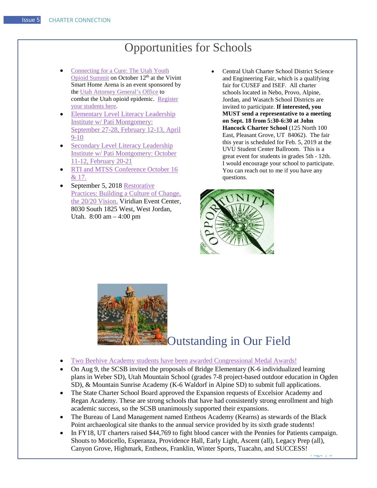## Opportunities for Schools

- <span id="page-2-0"></span>• [Connecting for a Cure: The Utah Youth](https://drive.google.com/open?id=1pGGRVen9KuGcoPlhuHX03-zphm2wTS55)  [Opioid Summit](https://drive.google.com/open?id=1pGGRVen9KuGcoPlhuHX03-zphm2wTS55) on October 12<sup>th</sup> at the Vivint Smart Home Arena is an event sponsored by the [Utah Attorney General's Office](https://drive.google.com/open?id=1MSEx9Q61O5J2p19afQXBmU5YFk2cKGzf) to combat the Utah opioid epidemic. [Register](http://utahsolutionssummit.com/schools/)  [your students here.](http://utahsolutionssummit.com/schools/)
- [Elementary Level Literacy Leadership](https://docs.google.com/forms/d/e/1FAIpQLSdHbMpo9oSeX1ZP-q3iUd8XtCqpJBxSuAE3kY005d4q9353-g/viewform)  [Institute w/ Pati](https://docs.google.com/forms/d/e/1FAIpQLSdHbMpo9oSeX1ZP-q3iUd8XtCqpJBxSuAE3kY005d4q9353-g/viewform) Montgomery: [September 27-28, February 12-13, April](https://docs.google.com/forms/d/e/1FAIpQLSdHbMpo9oSeX1ZP-q3iUd8XtCqpJBxSuAE3kY005d4q9353-g/viewform)  [9-10](https://docs.google.com/forms/d/e/1FAIpQLSdHbMpo9oSeX1ZP-q3iUd8XtCqpJBxSuAE3kY005d4q9353-g/viewform)
- **Secondary Level Literacy Leadership** [Institute w/ Pati Montgomery: October](https://docs.google.com/forms/d/e/1FAIpQLSdHbMpo9oSeX1ZP-q3iUd8XtCqpJBxSuAE3kY005d4q9353-g/viewform)  [11-12, February 20-21](https://docs.google.com/forms/d/e/1FAIpQLSdHbMpo9oSeX1ZP-q3iUd8XtCqpJBxSuAE3kY005d4q9353-g/viewform)
- RTI and MTSS Conference October 16 [& 17.](https://drive.google.com/open?id=1xtMOLf2QNHgPqdhm85Pjdnkm1JIgsIZH)
- September 5, 2018 Restorative [Practices: Building a Culture of Change,](https://drive.google.com/open?id=1ofmEYgD5Z597lxdXq3b9BZYIIGzrmZZN)  [the 20/20 Vision.](https://drive.google.com/open?id=1ofmEYgD5Z597lxdXq3b9BZYIIGzrmZZN) Viridian Event Center, 8030 South 1825 West, West Jordan, Utah. 8:00 am – 4:00 pm
- Central Utah Charter School District Science and Engineering Fair, which is a qualifying fair for CUSEF and ISEF. All charter schools located in Nebo, Provo, Alpine, Jordan, and Wasatch School Districts are invited to participate. **If interested, you MUST send a representative to a meeting on Sept. 18 from 5:30-6:30 at John Hancock Charter School** (125 North 100 East, Pleasant Grove, UT 84062). The fair this year is scheduled for Feb. 5, 2019 at the UVU Student Center Ballroom. This is a great event for students in grades 5th - 12th. I would encourage your school to participate. You can reach out to me if you have any questions.



<span id="page-2-1"></span>

## Outstanding in Our Field

- [Two Beehive Academy students have been awarded Congressional Medal Awards!](http://www.sandyjournal.com/2018/08/23/179021/two-beehive-academy-students-awarded-congressional-medals#.W4B6ryMyTho.twitter)
- On Aug 9, the SCSB invited the proposals of Bridge Elementary (K-6 individualized learning plans in Weber SD), Utah Mountain School (grades 7-8 project-based outdoor education in Ogden SD), & Mountain Sunrise Academy (K-6 Waldorf in Alpine SD) to submit full applications.
- The State Charter School Board approved the Expansion requests of Excelsior Academy and Regan Academy. These are strong schools that have had consistently strong enrollment and high academic success, so the SCSB unanimously supported their expansions.
- The Bureau of Land Management named Entheos Academy (Kearns) as stewards of the Black Point archaeological site thanks to the annual service provided by its sixth grade students!
- Page | 3 • In FY18, UT charters raised \$44,769 to fight blood cancer with the Pennies for Patients campaign. Shouts to Moticello, Esperanza, Providence Hall, Early Light, Ascent (all), Legacy Prep (all), Canyon Grove, Highmark, Entheos, Franklin, Winter Sports, Tuacahn, and SUCCESS!